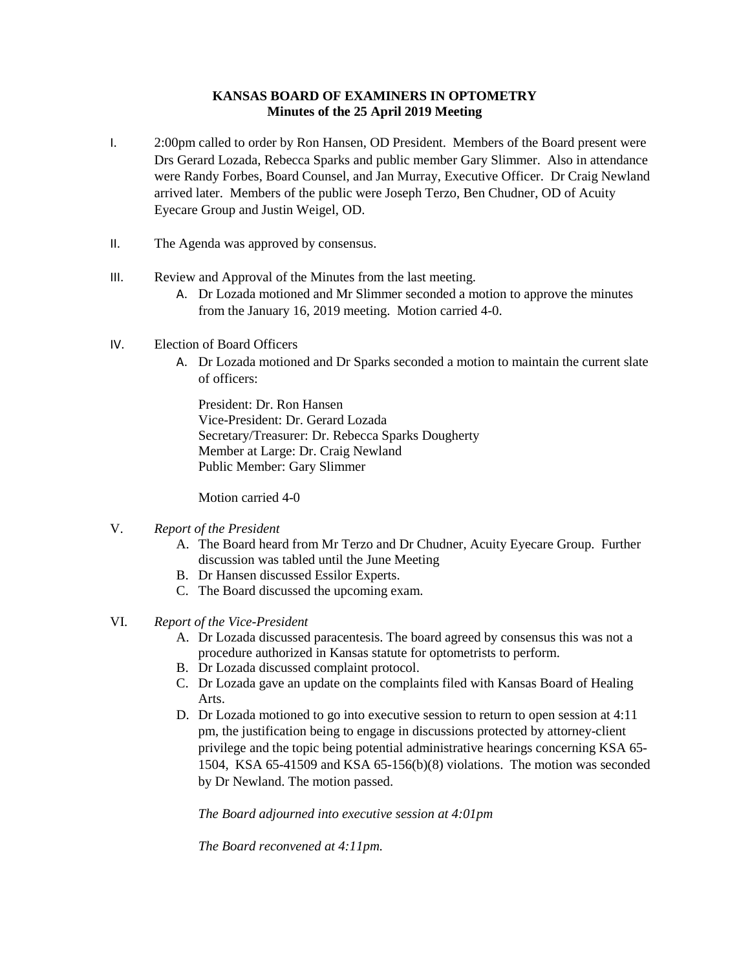## **KANSAS BOARD OF EXAMINERS IN OPTOMETRY Minutes of the 25 April 2019 Meeting**

- I. 2:00pm called to order by Ron Hansen, OD President. Members of the Board present were Drs Gerard Lozada, Rebecca Sparks and public member Gary Slimmer. Also in attendance were Randy Forbes, Board Counsel, and Jan Murray, Executive Officer. Dr Craig Newland arrived later. Members of the public were Joseph Terzo, Ben Chudner, OD of Acuity Eyecare Group and Justin Weigel, OD.
- II. The Agenda was approved by consensus.
- III. Review and Approval of the Minutes from the last meeting.
	- A. Dr Lozada motioned and Mr Slimmer seconded a motion to approve the minutes from the January 16, 2019 meeting. Motion carried 4-0.
- IV. Election of Board Officers
	- A. Dr Lozada motioned and Dr Sparks seconded a motion to maintain the current slate of officers:

President: Dr. Ron Hansen Vice-President: Dr. Gerard Lozada Secretary/Treasurer: Dr. Rebecca Sparks Dougherty Member at Large: Dr. Craig Newland Public Member: Gary Slimmer

Motion carried 4-0

## V. *Report of the President*

- A. The Board heard from Mr Terzo and Dr Chudner, Acuity Eyecare Group. Further discussion was tabled until the June Meeting
- B. Dr Hansen discussed Essilor Experts.
- C. The Board discussed the upcoming exam.
- VI. *Report of the Vice-President*
	- A. Dr Lozada discussed paracentesis. The board agreed by consensus this was not a procedure authorized in Kansas statute for optometrists to perform.
	- B. Dr Lozada discussed complaint protocol.
	- C. Dr Lozada gave an update on the complaints filed with Kansas Board of Healing Arts.
	- D. Dr Lozada motioned to go into executive session to return to open session at 4:11 pm, the justification being to engage in discussions protected by attorney-client privilege and the topic being potential administrative hearings concerning KSA 65- 1504, KSA 65-41509 and KSA 65-156(b)(8) violations. The motion was seconded by Dr Newland. The motion passed.

*The Board adjourned into executive session at 4:01pm*

*The Board reconvened at 4:11pm.*